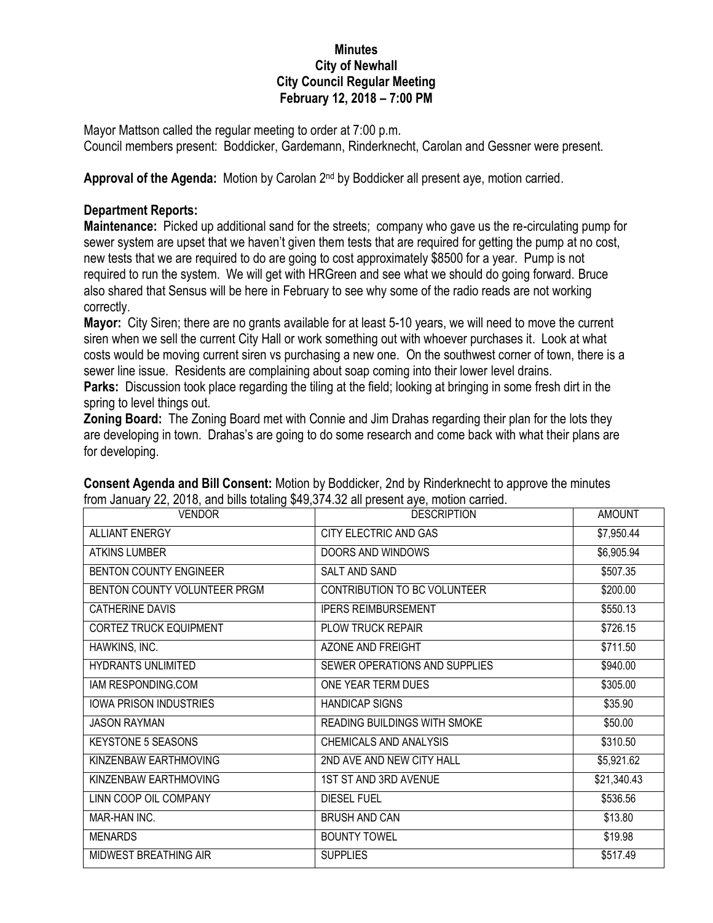## **Minutes City of Newhall City Council Regular Meeting February 12, 2018 – 7:00 PM**

Mayor Mattson called the regular meeting to order at 7:00 p.m. Council members present: Boddicker, Gardemann, Rinderknecht, Carolan and Gessner were present.

Approval of the Agenda: Motion by Carolan 2<sup>nd</sup> by Boddicker all present aye, motion carried.

## **Department Reports:**

**Maintenance:** Picked up additional sand for the streets; company who gave us the re-circulating pump for sewer system are upset that we haven't given them tests that are required for getting the pump at no cost, new tests that we are required to do are going to cost approximately \$8500 for a year. Pump is not required to run the system. We will get with HRGreen and see what we should do going forward. Bruce also shared that Sensus will be here in February to see why some of the radio reads are not working correctly.

**Mayor:** City Siren; there are no grants available for at least 5-10 years, we will need to move the current siren when we sell the current City Hall or work something out with whoever purchases it. Look at what costs would be moving current siren vs purchasing a new one. On the southwest corner of town, there is a sewer line issue. Residents are complaining about soap coming into their lower level drains. **Parks:** Discussion took place regarding the tiling at the field; looking at bringing in some fresh dirt in the spring to level things out.

**Zoning Board:** The Zoning Board met with Connie and Jim Drahas regarding their plan for the lots they are developing in town. Drahas's are going to do some research and come back with what their plans are for developing.

| <b>VENDOR</b>                 | <b>DESCRIPTION</b>                  | <b>AMOUNT</b> |
|-------------------------------|-------------------------------------|---------------|
| <b>ALLIANT ENERGY</b>         | CITY ELECTRIC AND GAS               | \$7,950.44    |
| <b>ATKINS LUMBER</b>          | DOORS AND WINDOWS                   | \$6,905.94    |
| <b>BENTON COUNTY ENGINEER</b> | SALT AND SAND                       | \$507.35      |
| BENTON COUNTY VOLUNTEER PRGM  | CONTRIBUTION TO BC VOLUNTEER        | \$200.00      |
| CATHERINE DAVIS               | <b>IPERS REIMBURSEMENT</b>          | \$550.13      |
| <b>CORTEZ TRUCK EQUIPMENT</b> | PLOW TRUCK REPAIR                   | \$726.15      |
| HAWKINS, INC.                 | AZONE AND FREIGHT                   | \$711.50      |
| <b>HYDRANTS UNLIMITED</b>     | SEWER OPERATIONS AND SUPPLIES       | \$940.00      |
| IAM RESPONDING.COM            | ONE YEAR TERM DUES                  | \$305.00      |
| <b>IOWA PRISON INDUSTRIES</b> | <b>HANDICAP SIGNS</b>               | \$35.90       |
| <b>JASON RAYMAN</b>           | <b>READING BUILDINGS WITH SMOKE</b> | \$50.00       |
| <b>KEYSTONE 5 SEASONS</b>     | <b>CHEMICALS AND ANALYSIS</b>       | \$310.50      |
| KINZENBAW EARTHMOVING         | 2ND AVE AND NEW CITY HALL           | \$5,921.62    |
| KINZENBAW EARTHMOVING         | 1ST ST AND 3RD AVENUE               | \$21,340.43   |
| LINN COOP OIL COMPANY         | <b>DIESEL FUEL</b>                  | \$536.56      |
| MAR-HAN INC.                  | <b>BRUSH AND CAN</b>                | \$13.80       |
| <b>MENARDS</b>                | <b>BOUNTY TOWEL</b>                 | \$19.98       |
| MIDWEST BREATHING AIR         | <b>SUPPLIES</b>                     | \$517.49      |

**Consent Agenda and Bill Consent:** Motion by Boddicker, 2nd by Rinderknecht to approve the minutes from January 22, 2018, and bills totaling \$49,374.32 all present aye, motion carried.